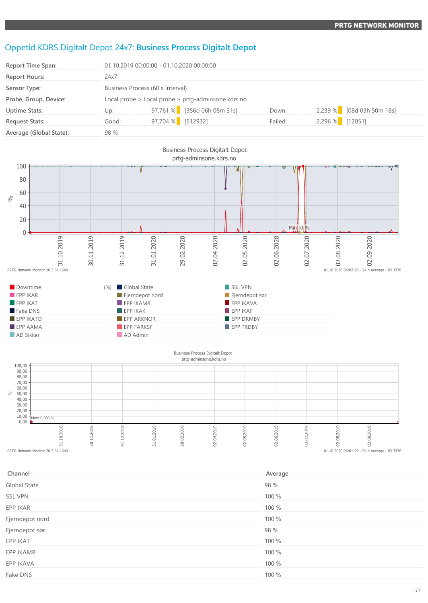## Oppetid KDRS Digitalt Depot 24x7: **Business Process Digitalt Depot**

| <b>Report Time Span:</b> | 01.10.2019 00:00:00 - 01.10.2020 00:00:00          |                   |                             |         |                 |                           |
|--------------------------|----------------------------------------------------|-------------------|-----------------------------|---------|-----------------|---------------------------|
| <b>Report Hours:</b>     | 24x7                                               |                   |                             |         |                 |                           |
| Sensor Type:             | Business Process (60 s Interval)                   |                   |                             |         |                 |                           |
| Probe, Group, Device:    | Local probe > Local probe > prtg-adminsone.kdrs.no |                   |                             |         |                 |                           |
| <b>Uptime Stats:</b>     | Up:                                                |                   | 97,761 % [356d 06h 08m 31s] | Down:   |                 | 2,239 % [08d 03h 50m 18s] |
| <b>Request Stats:</b>    | Good:                                              | 97,704 % [512932] |                             | Failed: | 2,296 % [12051] |                           |
| Average (Global State):  | 98 %                                               |                   |                             |         |                 |                           |



| Channel         | Average |
|-----------------|---------|
| Global State    | 98 %    |
| <b>SSL VPN</b>  | 100 %   |
| EPP IKAR        | 100 %   |
| Fjerndepot nord | 100 %   |
| Fjerndepot sør  | 98 %    |
| EPP IKAT        | 100 %   |
| EPP IKAMR       | 100 %   |
| EPP IKAVA       | 100 %   |
| Fake DNS        | 100 %   |
|                 |         |